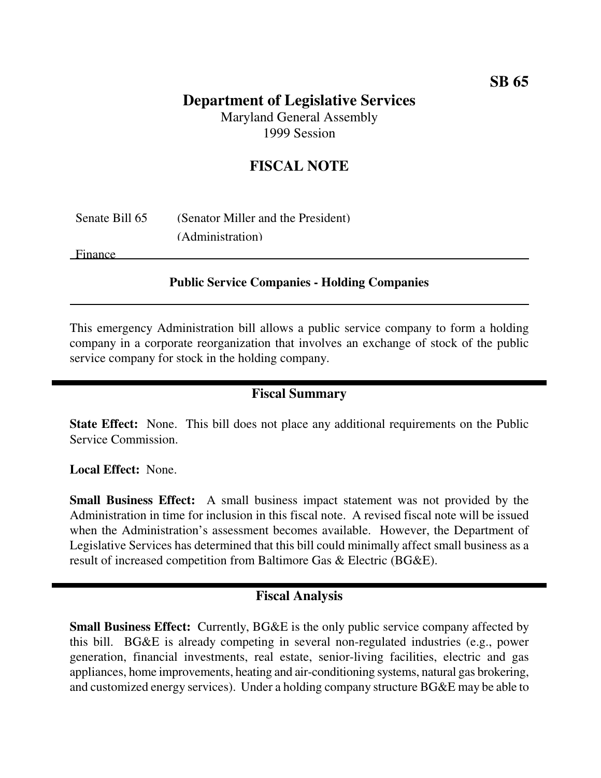# **Department of Legislative Services**

Maryland General Assembly 1999 Session

## **FISCAL NOTE**

| Senate Bill 65 | (Senator Miller and the President) |
|----------------|------------------------------------|
|                | (Administration)                   |

Finance

#### **Public Service Companies - Holding Companies**

This emergency Administration bill allows a public service company to form a holding company in a corporate reorganization that involves an exchange of stock of the public service company for stock in the holding company.

## **Fiscal Summary**

**State Effect:** None. This bill does not place any additional requirements on the Public Service Commission.

**Local Effect:** None.

**Small Business Effect:** A small business impact statement was not provided by the Administration in time for inclusion in this fiscal note. A revised fiscal note will be issued when the Administration's assessment becomes available. However, the Department of Legislative Services has determined that this bill could minimally affect small business as a result of increased competition from Baltimore Gas & Electric (BG&E).

## **Fiscal Analysis**

**Small Business Effect:** Currently, BG&E is the only public service company affected by this bill. BG&E is already competing in several non-regulated industries (e.g., power generation, financial investments, real estate, senior-living facilities, electric and gas appliances, home improvements, heating and air-conditioning systems, natural gas brokering, and customized energy services). Under a holding company structure BG&E may be able to